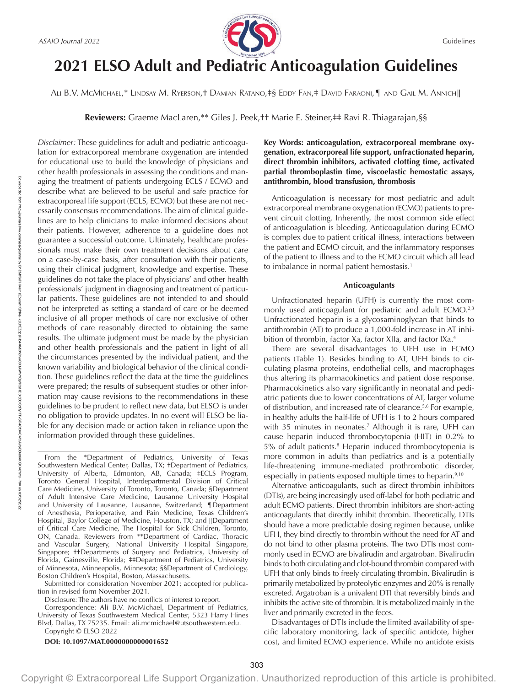

# **2021 ELSO Adult and Pediatric Anticoagulation Guidelines**

Ali B.V. McMichael,\* Lindsay M. Ryerson,† Damian Ratano,‡§ Eddy Fan,‡ David Faraoni,¶ and Gail M. Annich∥

**Reviewers:** Graeme MacLaren,\*\* Giles J. Peek,†† Marie E. Steiner,‡‡ Ravi R. Thiagarajan,§§

*Disclaimer:* These guidelines for adult and pediatric anticoagulation for extracorporeal membrane oxygenation are intended for educational use to build the knowledge of physicians and other health professionals in assessing the conditions and managing the treatment of patients undergoing ECLS / ECMO and describe what are believed to be useful and safe practice for extracorporeal life support (ECLS, ECMO) but these are not necessarily consensus recommendations. The aim of clinical guidelines are to help clinicians to make informed decisions about their patients. However, adherence to a guideline does not guarantee a successful outcome. Ultimately, healthcare professionals must make their own treatment decisions about care on a case-by-case basis, after consultation with their patients, using their clinical judgment, knowledge and expertise. These guidelines do not take the place of physicians' and other health professionals' judgment in diagnosing and treatment of particular patients. These guidelines are not intended to and should not be interpreted as setting a standard of care or be deemed inclusive of all proper methods of care nor exclusive of other methods of care reasonably directed to obtaining the same results. The ultimate judgment must be made by the physician and other health professionals and the patient in light of all the circumstances presented by the individual patient, and the known variability and biological behavior of the clinical condition. These guidelines reflect the data at the time the guidelines were prepared; the results of subsequent studies or other information may cause revisions to the recommendations in these guidelines to be prudent to reflect new data, but ELSO is under no obligation to provide updates. In no event will ELSO be liable for any decision made or action taken in reliance upon the information provided through these guidelines.

Submitted for consideration November 2021; accepted for publication in revised form November 2021.

Disclosure: The authors have no conflicts of interest to report.

Correspondence: Ali B.V. McMichael, Department of Pediatrics, University of Texas Southwestern Medical Center, 5323 Harry Hines Blvd, Dallas, TX 75235. Email: [ali.mcmichael@utsouthwestern.edu.](mailto:ali.mcmichael@utsouthwestern.edu) Copyright © ELSO 2022

**DOI: 10.1097/MAT.0000000000001652**

Downloaded from

# **Key Words: anticoagulation, extracorporeal membrane oxygenation, extracorporeal life support, unfractionated heparin, direct thrombin inhibitors, activated clotting time, activated partial thromboplastin time, viscoelastic hemostatic assays, antithrombin, blood transfusion, thrombosis**

Anticoagulation is necessary for most pediatric and adult extracorporeal membrane oxygenation (ECMO) patients to prevent circuit clotting. Inherently, the most common side effect of anticoagulation is bleeding. Anticoagulation during ECMO is complex due to patient critical illness, interactions between the patient and ECMO circuit, and the inflammatory responses of the patient to illness and to the ECMO circuit which all lead to imbalance in normal patient hemostasis.<sup>1</sup>

#### **Anticoagulants**

Unfractionated heparin (UFH) is currently the most commonly used anticoagulant for pediatric and adult ECMO.<sup>2,3</sup> Unfractionated heparin is a glycosaminoglycan that binds to antithrombin (AT) to produce a 1,000-fold increase in AT inhibition of thrombin, factor Xa, factor XIIa, and factor IXa.4

There are several disadvantages to UFH use in ECMO patients (Table 1). Besides binding to AT, UFH binds to circulating plasma proteins, endothelial cells, and macrophages thus altering its pharmacokinetics and patient dose response. Pharmacokinetics also vary significantly in neonatal and pediatric patients due to lower concentrations of AT, larger volume of distribution, and increased rate of clearance.5,6 For example, in healthy adults the half-life of UFH is 1 to 2 hours compared with 35 minutes in neonates.<sup>7</sup> Although it is rare, UFH can cause heparin induced thrombocytopenia (HIT) in 0.2% to 5% of adult patients.<sup>8</sup> Heparin induced thrombocytopenia is more common in adults than pediatrics and is a potentially life-threatening immune-mediated prothrombotic disorder, especially in patients exposed multiple times to heparin.<sup>9,10</sup>

Alternative anticoagulants, such as direct thrombin inhibitors (DTIs), are being increasingly used off-label for both pediatric and adult ECMO patients. Direct thrombin inhibitors are short-acting anticoagulants that directly inhibit thrombin. Theoretically, DTIs should have a more predictable dosing regimen because, unlike UFH, they bind directly to thrombin without the need for AT and do not bind to other plasma proteins. The two DTIs most commonly used in ECMO are bivalirudin and argatroban. Bivalirudin binds to both circulating and clot-bound thrombin compared with UFH that only binds to freely circulating thrombin. Bivalirudin is primarily metabolized by proteolytic enzymes and 20% is renally excreted. Argatroban is a univalent DTI that reversibly binds and inhibits the active site of thrombin. It is metabolized mainly in the liver and primarily excreted in the feces.

Disadvantages of DTIs include the limited availability of specific laboratory monitoring, lack of specific antidote, higher cost, and limited ECMO experience. While no antidote exists

From the \*Department of Pediatrics, University of Texas Southwestern Medical Center, Dallas, TX; †Department of Pediatrics, University of Alberta, Edmonton, AB, Canada; ‡ECLS Program, Toronto General Hospital, Interdepartmental Division of Critical Care Medicine, University of Toronto, Toronto, Canada; §Department of Adult Intensive Care Medicine, Lausanne University Hospital and University of Lausanne, Lausanne, Switzerland; ¶Department of Anesthesia, Perioperative, and Pain Medicine, Texas Children's Hospital, Baylor College of Medicine, Houston, TX; and ∥Department of Critical Care Medicine, The Hospital for Sick Children, Toronto, ON, Canada. Reviewers from \*\*Department of Cardiac, Thoracic and Vascular Surgery, National University Hospital Singapore, Singapore; ††Departments of Surgery and Pediatrics, University of Florida, Gainesville, Florida; ‡‡Department of Pediatrics, University of Minnesota, Minneapolis, Minnesota; §§Department of Cardiology, Boston Children's Hospital, Boston, Massachusetts.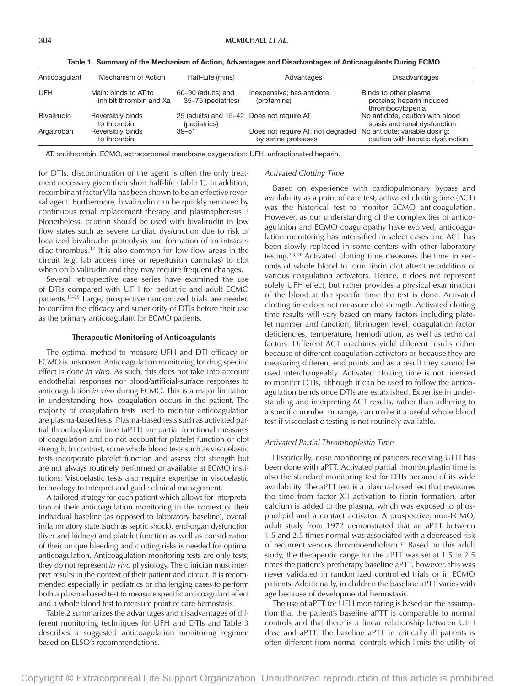| Anticoagulant      | Mechanism of Action                             | Half-Life (mins)                                          | Advantages                                               | <b>Disadvantages</b>                                                   |
|--------------------|-------------------------------------------------|-----------------------------------------------------------|----------------------------------------------------------|------------------------------------------------------------------------|
| UFH                | Main: binds to AT to<br>inhibit thrombin and Xa | 60-90 (adults) and<br>35-75 (pediatrics)                  | Inexpensive; has antidote<br>(protamine)                 | Binds to other plasma<br>proteins; heparin induced<br>thrombocytopenia |
| <b>Bivalirudin</b> | Reversibly binds<br>to thrombin                 | 25 (adults) and 15-42 Does not require AT<br>(pediatrics) |                                                          | No antidote, caution with blood<br>stasis and renal dysfunction        |
| Argatroban         | Reversibly binds<br>to thrombin                 | $39 - 51$                                                 | Does not require AT; not degraded<br>by serine proteases | No antidote; variable dosing;<br>caution with hepatic dysfunction      |

Table 1. Summary of the Mechanism of Action, Advantages and Disadvantages of Anticoagulants During ECMO

AT, antithrombin; ECMO, extracorporeal membrane oxygenation; UFH, unfractionated heparin.

for DTIs, discontinuation of the agent is often the only treatment necessary given their short half-life (Table 1). In addition, recombinant factor VIIa has been shown to be an effective reversal agent. Furthermore, bivalirudin can be quickly removed by continuous renal replacement therapy and plasmapheresis.<sup>11</sup> Nonetheless, caution should be used with bivalirudin in low flow states such as severe cardiac dysfunction due to risk of localized bivalirudin proteolysis and formation of an intracardiac thrombus.12 It is also common for low flow areas in the circuit (*e.g.* lab access lines or reperfusion cannulas) to clot when on bivalirudin and they may require frequent changes.

Several retrospective case series have examined the use of DTIs compared with UFH for pediatric and adult ECMO patients.13–29 Large, prospective randomized trials are needed to confirm the efficacy and superiority of DTIs before their use as the primary anticoagulant for ECMO patients.

# **Therapeutic Monitoring of Anticoagulants**

The optimal method to measure UFH and DTI efficacy on ECMO is unknown. Anticoagulation monitoring for drug specific effect is done *in vitro*. As such, this does not take into account endothelial responses nor blood/artificial-surface responses to anticoagulation *in vivo* during ECMO. This is a major limitation in understanding how coagulation occurs in the patient. The majority of coagulation tests used to monitor anticoagulation are plasma-based tests. Plasma-based tests such as activated partial thromboplastin time (aPTT) are partial functional measures of coagulation and do not account for platelet function or clot strength. In contrast, some whole blood tests such as viscoelastic tests incorporate platelet function and assess clot strength but are not always routinely performed or available at ECMO institutions. Viscoelastic tests also require expertise in viscoelastic technology to interpret and guide clinical management.

A tailored strategy for each patient which allows for interpretation of their anticoagulation monitoring in the context of their individual baseline (as opposed to laboratory baseline), overall inflammatory state (such as septic shock), end-organ dysfunction (liver and kidney) and platelet function as well as consideration of their unique bleeding and clotting risks is needed for optimal anticoagulation. Anticoagulation monitoring tests are only tests; they do not represent *in vivo* physiology. The clinician must interpret results in the context of their patient and circuit. It is recommended especially in pediatrics or challenging cases to perform both a plasma-based test to measure specific anticoagulant effect and a whole blood test to measure point of care hemostasis.

Table 2 summarizes the advantages and disadvantages of different monitoring techniques for UFH and DTIs and Table 3 describes a suggested anticoagulation monitoring regimen based on ELSO's recommendations.

#### *Activated Clotting Time*

Based on experience with cardiopulmonary bypass and availability as a point of care test, activated clotting time (ACT) was the historical test to monitor ECMO anticoagulation. However, as our understanding of the complexities of anticoagulation and ECMO coagulopathy have evolved, anticoagulation monitoring has intensified in select cases and ACT has been slowly replaced in some centers with other laboratory testing.<sup>2,3,31</sup> Activated clotting time measures the time in seconds of whole blood to form fibrin clot after the addition of various coagulation activators. Hence, it does not represent solely UFH effect, but rather provides a physical examination of the blood at the specific time the test is done. Activated clotting time does not measure clot strength. Activated clotting time results will vary based on many factors including platelet number and function, fibrinogen level, coagulation factor deficiencies, temperature, hemodilution, as well as technical factors. Different ACT machines yield different results either because of different coagulation activators or because they are measuring different end points and as a result they cannot be used interchangeably. Activated clotting time is not licensed to monitor DTIs, although it can be used to follow the anticoagulation trends once DTIs are established. Expertise in understanding and interpreting ACT results, rather than adhering to a specific number or range, can make it a useful whole blood test if viscoelastic testing is not routinely available.

#### *Activated Partial Thromboplastin Time*

Historically, dose monitoring of patients receiving UFH has been done with aPTT. Activated partial thromboplastin time is also the standard monitoring test for DTIs because of its wide availability. The aPTT test is a plasma-based test that measures the time from factor XII activation to fibrin formation, after calcium is added to the plasma, which was exposed to phospholipid and a contact activator. A prospective, non-ECMO, adult study from 1972 demonstrated that an aPTT between 1.5 and 2.5 times normal was associated with a decreased risk of recurrent venous thromboembolism.<sup>32</sup> Based on this adult study, the therapeutic range for the aPTT was set at 1.5 to 2.5 times the patient's pretherapy baseline aPTT, however, this was never validated in randomized controlled trials or in ECMO patients. Additionally, in children the baseline aPTT varies with age because of developmental hemostasis.

The use of aPTT for UFH monitoring is based on the assumption that the patient's baseline aPTT is comparable to normal controls and that there is a linear relationship between UFH dose and aPTT. The baseline aPTT in critically ill patients is often different from normal controls which limits the utility of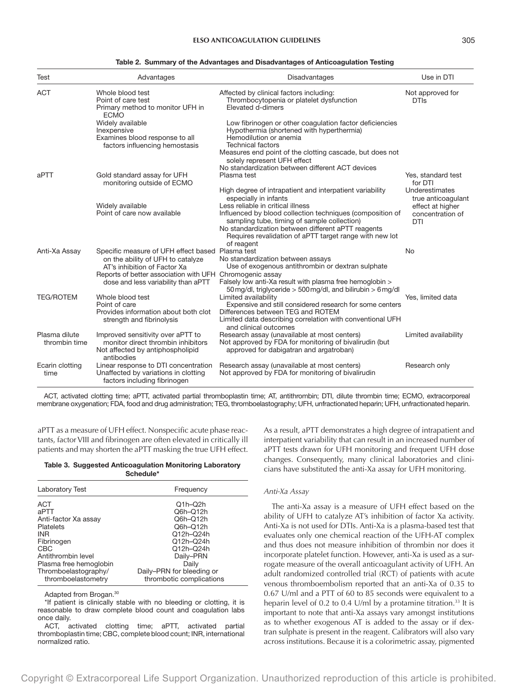| Test                           | Advantages                                                                                                                 | Disadvantages                                                                                                                                                                                                                                                                                                                                       | Use in DTI                                                                          |
|--------------------------------|----------------------------------------------------------------------------------------------------------------------------|-----------------------------------------------------------------------------------------------------------------------------------------------------------------------------------------------------------------------------------------------------------------------------------------------------------------------------------------------------|-------------------------------------------------------------------------------------|
| <b>ACT</b>                     | Whole blood test<br>Point of care test<br>Primary method to monitor UFH in                                                 | Affected by clinical factors including:<br>Thrombocytopenia or platelet dysfunction<br>Elevated d-dimers                                                                                                                                                                                                                                            | Not approved for<br><b>DTIs</b>                                                     |
|                                | <b>ECMO</b><br>Widely available<br>Inexpensive<br>Examines blood response to all<br>factors influencing hemostasis         | Low fibrinogen or other coagulation factor deficiencies<br>Hypothermia (shortened with hyperthermia)<br>Hemodilution or anemia<br><b>Technical factors</b><br>Measures end point of the clotting cascade, but does not<br>solely represent UFH effect                                                                                               |                                                                                     |
| aPTT                           | Gold standard assay for UFH<br>monitoring outside of ECMO                                                                  | No standardization between different ACT devices<br>Plasma test                                                                                                                                                                                                                                                                                     | Yes, standard test<br>for DTI                                                       |
|                                | Widely available<br>Point of care now available                                                                            | High degree of intrapatient and interpatient variability<br>especially in infants<br>Less reliable in critical illness<br>Influenced by blood collection techniques (composition of<br>sampling tube, timing of sample collection)<br>No standardization between different aPTT reagents<br>Requires revalidation of aPTT target range with new lot | Underestimates<br>true anticoagulant<br>effect at higher<br>concentration of<br>DTI |
| Anti-Xa Assay                  | Specific measure of UFH effect based Plasma test<br>on the ability of UFH to catalyze<br>AT's inhibition of Factor Xa      | of reagent<br>No standardization between assays<br>Use of exogenous antithrombin or dextran sulphate                                                                                                                                                                                                                                                | No                                                                                  |
|                                | Reports of better association with UFH<br>dose and less variability than aPTT                                              | Chromogenic assay<br>Falsely low anti-Xa result with plasma free hemoglobin ><br>50 mg/dl, triglyceride > 500 mg/dl, and bilirubin > 6 mg/dl                                                                                                                                                                                                        |                                                                                     |
| <b>TEG/ROTEM</b>               | Whole blood test<br>Point of care<br>Provides information about both clot<br>strength and fibrinolysis                     | Limited availability<br>Expensive and still considered research for some centers<br>Differences between TEG and ROTEM<br>Limited data describing correlation with conventional UFH                                                                                                                                                                  | Yes, limited data                                                                   |
| Plasma dilute<br>thrombin time | Improved sensitivity over aPTT to<br>monitor direct thrombin inhibitors<br>Not affected by antiphospholipid                | and clinical outcomes<br>Research assay (unavailable at most centers)<br>Not approved by FDA for monitoring of bivalirudin (but<br>approved for dabigatran and argatroban)                                                                                                                                                                          | Limited availability                                                                |
| Ecarin clotting<br>time        | antibodies<br>Linear response to DTI concentration<br>Unaffected by variations in clotting<br>factors including fibrinogen | Research assay (unavailable at most centers)<br>Not approved by FDA for monitoring of bivalirudin                                                                                                                                                                                                                                                   | Research only                                                                       |

#### Table 2. Summary of the Advantages and Disadvantages of Anticoagulation Testing

ACT, activated clotting time; aPTT, activated partial thromboplastin time; AT, antithrombin; DTI, dilute thrombin time; ECMO, extracorporeal membrane oxygenation; FDA, food and drug administration; TEG, thromboelastography; UFH, unfractionated heparin; UFH, unfractionated heparin.

aPTT as a measure of UFH effect. Nonspecific acute phase reactants, factor VIII and fibrinogen are often elevated in critically ill patients and may shorten the aPTT masking the true UFH effect.

|  |           | Table 3. Suggested Anticoagulation Monitoring Laboratory |
|--|-----------|----------------------------------------------------------|
|  | Schedule* |                                                          |

| Frequency                                                                                                                                                           |
|---------------------------------------------------------------------------------------------------------------------------------------------------------------------|
|                                                                                                                                                                     |
| $Q1h-Q2h$<br>Q6h-Q12h<br>Q6h-Q12h<br>Q6h-Q12h<br>Q12h-Q24h<br>Q12h-Q24h<br>Q12h-Q24h<br>Daily-PRN<br>Daily<br>Daily-PRN for bleeding or<br>thrombotic complications |
|                                                                                                                                                                     |

Adapted from Brogan.30

\*If patient is clinically stable with no bleeding or clotting, it is reasonable to draw complete blood count and coagulation labs once daily.

ACT, activated clotting time; aPTT, activated partial thromboplastin time; CBC, complete blood count; INR, international normalized ratio.

As a result, aPTT demonstrates a high degree of intrapatient and interpatient variability that can result in an increased number of aPTT tests drawn for UFH monitoring and frequent UFH dose changes. Consequently, many clinical laboratories and clinicians have substituted the anti-Xa assay for UFH monitoring.

#### *Anti-Xa Assay*

The anti-Xa assay is a measure of UFH effect based on the ability of UFH to catalyze AT's inhibition of factor Xa activity. Anti-Xa is not used for DTIs. Anti-Xa is a plasma-based test that evaluates only one chemical reaction of the UFH-AT complex and thus does not measure inhibition of thrombin nor does it incorporate platelet function. However, anti-Xa is used as a surrogate measure of the overall anticoagulant activity of UFH. An adult randomized controlled trial (RCT) of patients with acute venous thromboembolism reported that an anti-Xa of 0.35 to 0.67 U/ml and a PTT of 60 to 85 seconds were equivalent to a heparin level of 0.2 to 0.4 U/ml by a protamine titration.<sup>33</sup> It is important to note that anti-Xa assays vary amongst institutions as to whether exogenous AT is added to the assay or if dextran sulphate is present in the reagent. Calibrators will also vary across institutions. Because it is a colorimetric assay, pigmented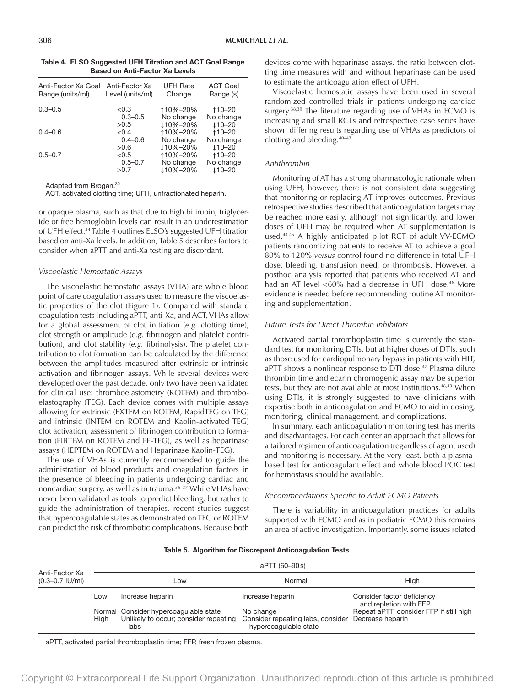| Anti-Factor Xa Goal<br>Range (units/ml) | Anti-Factor Xa<br>Level (units/ml) | <b>UFH Rate</b><br>Change | <b>ACT Goal</b><br>Range (s) |
|-----------------------------------------|------------------------------------|---------------------------|------------------------------|
| $0.3 - 0.5$                             | < 0.3                              | 110%-20%                  | ↑10–20                       |
|                                         | $0.3 - 0.5$                        | No change                 | No change                    |
|                                         | >0.5                               | 110%-20%                  | $110 - 20$                   |
| $0.4 - 0.6$                             | < 0.4                              | 110%-20%                  | 110-20                       |
|                                         | $0.4 - 0.6$                        | No change                 | No change                    |
|                                         | >0.6                               | 110%-20%                  | $110 - 20$                   |
| $0.5 - 0.7$                             | < 0.5                              | 110%-20%                  | 110-20                       |
|                                         | $0.5 - 0.7$                        | No change                 | No change                    |
|                                         | >0.7                               | 110%-20%                  | $110 - 20$                   |

Table 4. ELSO Suggested UFH Titration and ACT Goal Range Based on Anti-Factor Xa Levels

Adapted from Brogan.30

ACT, activated clotting time; UFH, unfractionated heparin.

or opaque plasma, such as that due to high bilirubin, triglyceride or free hemoglobin levels can result in an underestimation of UFH effect.34 Table 4 outlines ELSO's suggested UFH titration based on anti-Xa levels. In addition, Table 5 describes factors to consider when aPTT and anti-Xa testing are discordant.

#### *Viscoelastic Hemostatic Assays*

The viscoelastic hemostatic assays (VHA) are whole blood point of care coagulation assays used to measure the viscoelastic properties of the clot (Figure 1). Compared with standard coagulation tests including aPTT, anti-Xa, and ACT, VHAs allow for a global assessment of clot initiation (*e.g.* clotting time), clot strength or amplitude (*e.g.* fibrinogen and platelet contribution), and clot stability (*e.g.* fibrinolysis). The platelet contribution to clot formation can be calculated by the difference between the amplitudes measured after extrinsic or intrinsic activation and fibrinogen assays. While several devices were developed over the past decade, only two have been validated for clinical use: thromboelastometry (ROTEM) and thromboelastography (TEG). Each device comes with multiple assays allowing for extrinsic (EXTEM on ROTEM, RapidTEG on TEG) and intrinsic (INTEM on ROTEM and Kaolin-activated TEG) clot activation, assessment of fibrinogen contribution to formation (FIBTEM on ROTEM and FF-TEG), as well as heparinase assays (HEPTEM on ROTEM and Heparinase Kaolin-TEG).

The use of VHAs is currently recommended to guide the administration of blood products and coagulation factors in the presence of bleeding in patients undergoing cardiac and noncardiac surgery, as well as in trauma.35–37 While VHAs have never been validated as tools to predict bleeding, but rather to guide the administration of therapies, recent studies suggest that hypercoagulable states as demonstrated on TEG or ROTEM can predict the risk of thrombotic complications. Because both

devices come with heparinase assays, the ratio between clotting time measures with and without heparinase can be used to estimate the anticoagulation effect of UFH.

Viscoelastic hemostatic assays have been used in several randomized controlled trials in patients undergoing cardiac surgery.<sup>38,39</sup> The literature regarding use of VHAs in ECMO is increasing and small RCTs and retrospective case series have shown differing results regarding use of VHAs as predictors of clotting and bleeding.40–43

#### *Antithrombin*

Monitoring of AT has a strong pharmacologic rationale when using UFH, however, there is not consistent data suggesting that monitoring or replacing AT improves outcomes. Previous retrospective studies described that anticoagulation targets may be reached more easily, although not significantly, and lower doses of UFH may be required when AT supplementation is used.44,45 A highly anticipated pilot RCT of adult VV-ECMO patients randomizing patients to receive AT to achieve a goal 80% to 120% *versus* control found no difference in total UFH dose, bleeding, transfusion need, or thrombosis. However, a posthoc analysis reported that patients who received AT and had an AT level <60% had a decrease in UFH dose.<sup>46</sup> More evidence is needed before recommending routine AT monitoring and supplementation.

# *Future Tests for Direct Thrombin Inhibitors*

Activated partial thromboplastin time is currently the standard test for monitoring DTIs, but at higher doses of DTIs, such as those used for cardiopulmonary bypass in patients with HIT, aPTT shows a nonlinear response to DTI dose.<sup>47</sup> Plasma dilute thrombin time and ecarin chromogenic assay may be superior tests, but they are not available at most institutions.<sup>48,49</sup> When using DTIs, it is strongly suggested to have clinicians with expertise both in anticoagulation and ECMO to aid in dosing, monitoring, clinical management, and complications.

In summary, each anticoagulation monitoring test has merits and disadvantages. For each center an approach that allows for a tailored regimen of anticoagulation (regardless of agent used) and monitoring is necessary. At the very least, both a plasmabased test for anticoagulant effect and whole blood POC test for hemostasis should be available.

# *Recommendations Specific to Adult ECMO Patients*

There is variability in anticoagulation practices for adults supported with ECMO and as in pediatric ECMO this remains an area of active investigation. Importantly, some issues related

|  | Table 5. Algorithm for Discrepant Anticoagulation Tests |  |  |  |
|--|---------------------------------------------------------|--|--|--|
|  |                                                         |  |  |  |

|                                       |      |                                                                                        | aPTT (60–90s)                                                                            |                                                      |
|---------------------------------------|------|----------------------------------------------------------------------------------------|------------------------------------------------------------------------------------------|------------------------------------------------------|
| Anti-Factor Xa<br>$(0.3 - 0.7$ IU/ml) |      | LOW                                                                                    | Normal                                                                                   | High                                                 |
|                                       | Low  | Increase heparin                                                                       | Increase heparin                                                                         | Consider factor deficiency<br>and repletion with FFP |
|                                       | Hiah | Normal Consider hypercoagulable state<br>Unlikely to occur; consider repeating<br>labs | No change<br>Consider repeating labs, consider Decrease heparin<br>hypercoaquiable state | Repeat aPTT, consider FFP if still high              |

aPTT, activated partial thromboplastin time; FFP, fresh frozen plasma.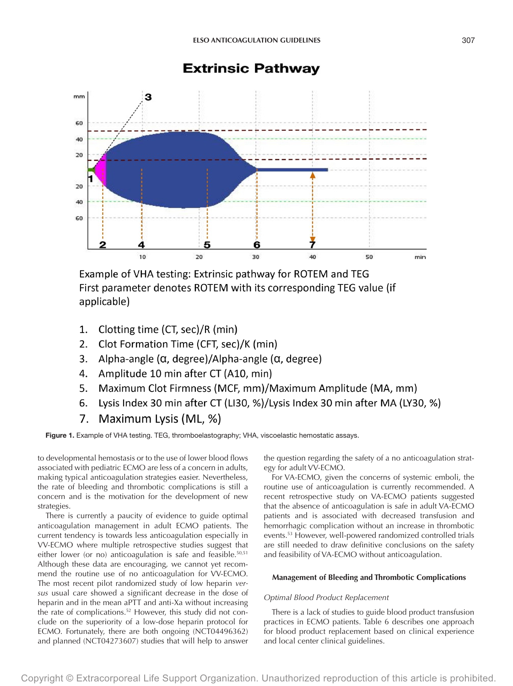

# **Extrinsic Pathway**

Example of VHA testing: Extrinsic pathway for ROTEM and TEG First parameter denotes ROTEM with its corresponding TEG value (if applicable)

- 1. Clotting time (CT, sec)/R (min)
- $2.$ Clot Formation Time (CFT, sec)/K (min)
- $3.$ Alpha-angle (α, degree)/Alpha-angle (α, degree)
- 4. Amplitude 10 min after CT (A10, min)
- $5<sub>1</sub>$ Maximum Clot Firmness (MCF, mm)/Maximum Amplitude (MA, mm)
- 6. Lysis Index 30 min after CT (LI30, %)/Lysis Index 30 min after MA (LY30, %)
- 7. Maximum Lysis (ML, %)

Figure 1. Example of VHA testing. TEG, thromboelastography; VHA, viscoelastic hemostatic assays.

to developmental hemostasis or to the use of lower blood flows associated with pediatric ECMO are less of a concern in adults, making typical anticoagulation strategies easier. Nevertheless, the rate of bleeding and thrombotic complications is still a concern and is the motivation for the development of new strategies.

There is currently a paucity of evidence to guide optimal anticoagulation management in adult ECMO patients. The current tendency is towards less anticoagulation especially in VV-ECMO where multiple retrospective studies suggest that either lower (or no) anticoagulation is safe and feasible.<sup>50,51</sup> Although these data are encouraging, we cannot yet recommend the routine use of no anticoagulation for VV-ECMO. The most recent pilot randomized study of low heparin *versus* usual care showed a significant decrease in the dose of heparin and in the mean aPTT and anti-Xa without increasing the rate of complications.52 However, this study did not conclude on the superiority of a low-dose heparin protocol for ECMO. Fortunately, there are both ongoing (NCT04496362) and planned (NCT04273607) studies that will help to answer

the question regarding the safety of a no anticoagulation strategy for adult VV-ECMO.

For VA-ECMO, given the concerns of systemic emboli, the routine use of anticoagulation is currently recommended. A recent retrospective study on VA-ECMO patients suggested that the absence of anticoagulation is safe in adult VA-ECMO patients and is associated with decreased transfusion and hemorrhagic complication without an increase in thrombotic events.53 However, well-powered randomized controlled trials are still needed to draw definitive conclusions on the safety and feasibility of VA-ECMO without anticoagulation.

# **Management of Bleeding and Thrombotic Complications**

# *Optimal Blood Product Replacement*

There is a lack of studies to guide blood product transfusion practices in ECMO patients. Table 6 describes one approach for blood product replacement based on clinical experience and local center clinical guidelines.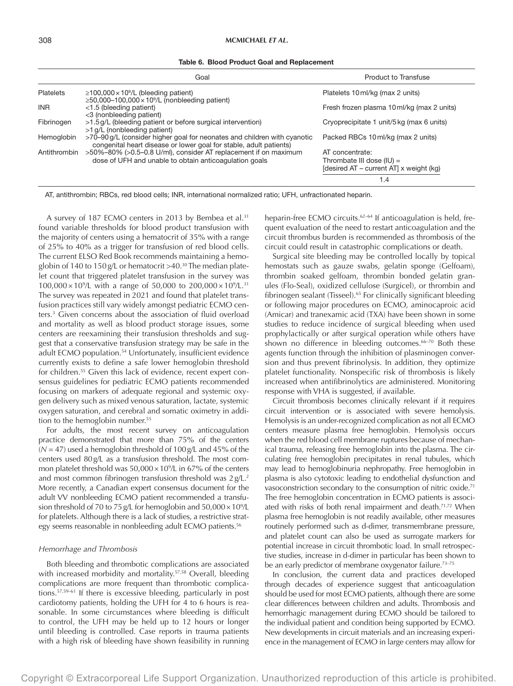| Table 6. Blood Product Goal and Replacement |  |  |  |  |
|---------------------------------------------|--|--|--|--|
|---------------------------------------------|--|--|--|--|

| Goal                                                                                                                      | <b>Product to Transfuse</b>                                                                                                                                                                        |
|---------------------------------------------------------------------------------------------------------------------------|----------------------------------------------------------------------------------------------------------------------------------------------------------------------------------------------------|
| $\geq$ 100,000 × 10 <sup>9</sup> /L (bleeding patient)                                                                    | Platelets 10 ml/kg (max 2 units)                                                                                                                                                                   |
| <1.5 (bleeding patient)                                                                                                   | Fresh frozen plasma 10 ml/kg (max 2 units)                                                                                                                                                         |
| >1.5 g/L (bleeding patient or before surgical intervention)                                                               | Cryoprecipitate 1 unit/5 kg (max 6 units)                                                                                                                                                          |
| >70-90g/L (consider higher goal for neonates and children with cyanotic                                                   | Packed RBCs 10 ml/kg (max 2 units)                                                                                                                                                                 |
| >50%-80% (>0.5-0.8 U/ml), consider AT replacement if on maximum<br>dose of UFH and unable to obtain anticoagulation goals | AT concentrate:<br>Thrombate III dose $(IU)$ =                                                                                                                                                     |
|                                                                                                                           | [desired $AT$ – current $AT$ ] x weight (kg)<br>1.4                                                                                                                                                |
|                                                                                                                           | $\geq$ 50,000–100,000 × 10 <sup>9</sup> /L (nonbleeding patient)<br><3 (nonbleeding patient)<br>>1 g/L (nonbleeding patient)<br>congenital heart disease or lower goal for stable, adult patients) |

AT, antithrombin; RBCs, red blood cells; INR, international normalized ratio; UFH, unfractionated heparin.

A survey of 187 ECMO centers in 2013 by Bembea et al.<sup>31</sup> found variable thresholds for blood product transfusion with the majority of centers using a hematocrit of 35% with a range of 25% to 40% as a trigger for transfusion of red blood cells. The current ELSO Red Book recommends maintaining a hemoglobin of 140 to 150g/L or hematocrit >40.30 The median platelet count that triggered platelet transfusion in the survey was 100,000 $\times$ 10<sup>9</sup>/L with a range of 50,000 to 200,000 $\times$ 10<sup>9</sup>/L.<sup>31</sup> The survey was repeated in 2021 and found that platelet transfusion practices still vary widely amongst pediatric ECMO centers.3 Given concerns about the association of fluid overload and mortality as well as blood product storage issues, some centers are reexamining their transfusion thresholds and suggest that a conservative transfusion strategy may be safe in the adult ECMO population.<sup>54</sup> Unfortunately, insufficient evidence currently exists to define a safe lower hemoglobin threshold for children.55 Given this lack of evidence, recent expert consensus guidelines for pediatric ECMO patients recommended focusing on markers of adequate regional and systemic oxygen delivery such as mixed venous saturation, lactate, systemic oxygen saturation, and cerebral and somatic oximetry in addition to the hemoglobin number.<sup>55</sup>

For adults, the most recent survey on anticoagulation practice demonstrated that more than 75% of the centers (*N* = 47) used a hemoglobin threshold of 100g/L and 45% of the centers used 80g/L as a transfusion threshold. The most common platelet threshold was 50,000×109 /L in 67% of the centers and most common fibrinogen transfusion threshold was 2 g/L.<sup>2</sup> More recently, a Canadian expert consensus document for the adult VV nonbleeding ECMO patient recommended a transfusion threshold of 70 to 75g/L for hemoglobin and 50,000×109 /L for platelets. Although there is a lack of studies, a restrictive strategy seems reasonable in nonbleeding adult ECMO patients.56

#### *Hemorrhage and Thrombosis*

Both bleeding and thrombotic complications are associated with increased morbidity and mortality.<sup>57,58</sup> Overall, bleeding complications are more frequent than thrombotic complications.57,59–61 If there is excessive bleeding, particularly in post cardiotomy patients, holding the UFH for 4 to 6 hours is reasonable. In some circumstances where bleeding is difficult to control, the UFH may be held up to 12 hours or longer until bleeding is controlled. Case reports in trauma patients with a high risk of bleeding have shown feasibility in running heparin-free ECMO circuits.<sup>62-64</sup> If anticoagulation is held, frequent evaluation of the need to restart anticoagulation and the circuit thrombus burden is recommended as thrombosis of the circuit could result in catastrophic complications or death.

Surgical site bleeding may be controlled locally by topical hemostats such as gauze swabs, gelatin sponge (Gelfoam), thrombin soaked gelfoam, thrombin bonded gelatin granules (Flo-Seal), oxidized cellulose (Surgicel), or thrombin and fibrinogen sealant (Tisseel).<sup>65</sup> For clinically significant bleeding or following major procedures on ECMO, aminocaproic acid (Amicar) and tranexamic acid (TXA) have been shown in some studies to reduce incidence of surgical bleeding when used prophylactically or after surgical operation while others have shown no difference in bleeding outcomes.<sup>66-70</sup> Both these agents function through the inhibition of plasminogen conversion and thus prevent fibrinolysis. In addition, they optimize platelet functionality. Nonspecific risk of thrombosis is likely increased when antifibrinolytics are administered. Monitoring response with VHA is suggested, if available.

Circuit thrombosis becomes clinically relevant if it requires circuit intervention or is associated with severe hemolysis. Hemolysis is an under-recognized complication as not all ECMO centers measure plasma free hemoglobin. Hemolysis occurs when the red blood cell membrane ruptures because of mechanical trauma, releasing free hemoglobin into the plasma. The circulating free hemoglobin precipitates in renal tubules, which may lead to hemoglobinuria nephropathy. Free hemoglobin in plasma is also cytotoxic leading to endothelial dysfunction and vasoconstriction secondary to the consumption of nitric oxide.<sup>71</sup> The free hemoglobin concentration in ECMO patients is associated with risks of both renal impairment and death.<sup>71,72</sup> When plasma free hemoglobin is not readily available, other measures routinely performed such as d-dimer, transmembrane pressure, and platelet count can also be used as surrogate markers for potential increase in circuit thrombotic load. In small retrospective studies, increase in d-dimer in particular has been shown to be an early predictor of membrane oxygenator failure.<sup>73-75</sup>

In conclusion, the current data and practices developed through decades of experience suggest that anticoagulation should be used for most ECMO patients, although there are some clear differences between children and adults. Thrombosis and hemorrhagic management during ECMO should be tailored to the individual patient and condition being supported by ECMO. New developments in circuit materials and an increasing experience in the management of ECMO in large centers may allow for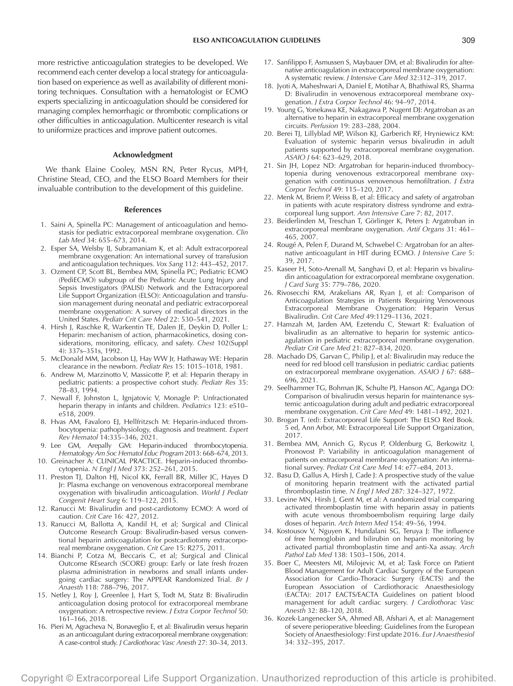more restrictive anticoagulation strategies to be developed. We recommend each center develop a local strategy for anticoagulation based on experience as well as availability of different monitoring techniques. Consultation with a hematologist or ECMO experts specializing in anticoagulation should be considered for managing complex hemorrhagic or thrombotic complications or other difficulties in anticoagulation. Multicenter research is vital to uniformize practices and improve patient outcomes.

#### **Acknowledgment**

We thank Elaine Cooley, MSN RN, Peter Rycus, MPH, Christine Stead, CEO, and the ELSO Board Members for their invaluable contribution to the development of this guideline.

#### **References**

- 1. Saini A, Spinella PC: Management of anticoagulation and hemostasis for pediatric extracorporeal membrane oxygenation. *Clin Lab Med* 34: 655–673, 2014.
- 2. Esper SA, Welsby IJ, Subramaniam K, et al: Adult extracorporeal membrane oxygenation: An international survey of transfusion and anticoagulation techniques. *Vox Sang* 112: 443–452, 2017.
- 3. Ozment CP, Scott BL, Bembea MM, Spinella PC; Pediatric ECMO (PediECMO) subgroup of the Pediatric Acute Lung Injury and Sepsis Investigators (PALISI) Network and the Extracorporeal Life Support Organization (ELSO): Anticoagulation and transfusion management during neonatal and pediatric extracorporeal membrane oxygenation: A survey of medical directors in the United States. *Pediatr Crit Care Med* 22: 530–541, 2021.
- 4. Hirsh J, Raschke R, Warkentin TE, Dalen JE, Deykin D, Poller L: Heparin: mechanism of action, pharmacokinetics, dosing considerations, monitoring, efficacy, and safety. *Chest* 102(Suppl 4): 337s–351s, 1992.
- 5. McDonald MM, Jacobson LJ, Hay WW Jr, Hathaway WE: Heparin clearance in the newborn. *Pediatr Res* 15: 1015–1018, 1981.
- 6. Andrew M, Marzinotto V, Massicotte P, et al: Heparin therapy in pediatric patients: a prospective cohort study. *Pediatr Res* 35: 78–83, 1994.
- 7. Newall F, Johnston L, Ignjatovic V, Monagle P: Unfractionated heparin therapy in infants and children. *Pediatrics* 123: e510– e518, 2009.
- 8. Hvas AM, Favaloro EJ, Hellfritzsch M: Heparin-induced thrombocytopenia: pathophysiology, diagnosis and treatment. *Expert Rev Hematol* 14:335–346, 2021.
- 9. Lee GM, Arepally GM: Heparin-induced thrombocytopenia. *Hematology Am Soc Hematol Educ Program* 2013: 668–674, 2013.
- 10. Greinacher A: CLINICAL PRACTICE. Heparin-induced thrombocytopenia. *N Engl J Med* 373: 252–261, 2015.
- 11. Preston TJ, Dalton HJ, Nicol KK, Ferrall BR, Miller JC, Hayes D Jr: Plasma exchange on venovenous extracorporeal membrane oxygenation with bivalirudin anticoagulation. *World J Pediatr Congenit Heart Surg* 6: 119–122, 2015.
- 12. Ranucci M: Bivalirudin and post-cardiotomy ECMO: A word of caution. *Crit Care* 16: 427, 2012.
- 13. Ranucci M, Ballotta A, Kandil H, et al; Surgical and Clinical Outcome Research Group: Bivalirudin-based versus conventional heparin anticoagulation for postcardiotomy extracorporeal membrane oxygenation. *Crit Care* 15: R275, 2011.
- 14. Bianchi P, Cotza M, Beccaris C, et al; Surgical and Clinical Outcome REsearch (SCORE) group: Early or late fresh frozen plasma administration in newborns and small infants undergoing cardiac surgery: The APPEAR Randomized Trial. *Br J Anaesth* 118: 788–796, 2017.
- 15. Netley J, Roy J, Greenlee J, Hart S, Todt M, Statz B: Bivalirudin anticoagulation dosing protocol for extracorporeal membrane oxygenation: A retrospective review. *J Extra Corpor Technol* 50: 161–166, 2018.
- 16. Pieri M, Agracheva N, Bonaveglio E, et al: Bivalirudin versus heparin as an anticoagulant during extracorporeal membrane oxygenation: A case-control study. *J Cardiothorac Vasc Anesth* 27: 30–34, 2013.
- 17. Sanfilippo F, Asmussen S, Maybauer DM, et al: Bivalirudin for alternative anticoagulation in extracorporeal membrane oxygenation: A systematic review. *J Intensive Care Med* 32:312–319, 2017.
- 18. Jyoti A, Maheshwari A, Daniel E, Motihar A, Bhathiwal RS, Sharma D: Bivalirudin in venovenous extracorporeal membrane oxygenation. *J Extra Corpor Technol* 46: 94–97, 2014.
- 19. Young G, Yonekawa KE, Nakagawa P, Nugent DJ: Argatroban as an alternative to heparin in extracorporeal membrane oxygenation circuits. *Perfusion* 19: 283–288, 2004.
- 20. Berei TJ, Lillyblad MP, Wilson KJ, Garberich RF, Hryniewicz KM: Evaluation of systemic heparin versus bivalirudin in adult patients supported by extracorporeal membrane oxygenation. *ASAIO J* 64: 623–629, 2018.
- 21. Sin JH, Lopez ND: Argatroban for heparin-induced thrombocytopenia during venovenous extracorporeal membrane oxygenation with continuous venovenous hemofiltration. *J Extra Corpor Technol* 49: 115–120, 2017.
- 22. Menk M, Briem P, Weiss B, et al: Efficacy and safety of argatroban in patients with acute respiratory distress syndrome and extracorporeal lung support. *Ann Intensive Care* 7: 82, 2017.
- 23. Beiderlinden M, Treschan T, Görlinger K, Peters J: Argatroban in extracorporeal membrane oxygenation. *Artif Organs* 31: 461– 465, 2007.
- 24. Rougé A, Pelen F, Durand M, Schwebel C: Argatroban for an alternative anticoagulant in HIT during ECMO. *J Intensive Care* 5: 39, 2017.
- 25. Kaseer H, Soto-Arenall M, Sanghavi D, et al: Heparin vs bivalirudin anticoagulation for extracorporeal membrane oxygenation. *J Card Surg* 35: 779–786, 2020.
- 26. Rivosecchi RM, Arakelians AR, Ryan J, et al: Comparison of Anticoagulation Strategies in Patients Requiring Venovenous Extracorporeal Membrane Oxygenation: Heparin Versus Bivalirudin. *Crit Care Med* 49:1129–1136, 2021.
- 27. Hamzah M, Jarden AM, Ezetendu C, Stewart R: Evaluation of bivalirudin as an alternative to heparin for systemic anticoagulation in pediatric extracorporeal membrane oxygenation. *Pediatr Crit Care Med* 21: 827–834, 2020.
- 28. Machado DS, Garvan C, Philip J, et al: Bivalirudin may reduce the need for red blood cell transfusion in pediatric cardiac patients on extracorporeal membrane oxygenation. *ASAIO J* 67: 688– 696, 2021.
- 29. Seelhammer TG, Bohman JK, Schulte PJ, Hanson AC, Aganga DO: Comparison of bivalirudin versus heparin for maintenance systemic anticoagulation during adult and pediatric extracorporeal membrane oxygenation. *Crit Care Med* 49: 1481–1492, 2021.
- 30. Brogan T. (ed): Extracorporeal Life Support: The ELSO Red Book. 5 ed, Ann Arbor, MI: Extracorporeal Life Support Organization, 2017.
- 31. Bembea MM, Annich G, Rycus P, Oldenburg G, Berkowitz I, Pronovost P: Variability in anticoagulation management of patients on extracorporeal membrane oxygenation: An international survey. *Pediatr Crit Care Med* 14: e77–e84, 2013.
- 32. Basu D, Gallus A, Hirsh J, Cade J: A prospective study of the value of monitoring heparin treatment with the activated partial thromboplastin time. *N Engl J Med* 287: 324–327, 1972.
- 33. Levine MN, Hirsh J, Gent M, et al: A randomized trial comparing activated thromboplastin time with heparin assay in patients with acute venous thromboembolism requiring large daily doses of heparin. *Arch Intern Med* 154: 49–56, 1994.
- 34. Kostousov V, Nguyen K, Hundalani SG, Teruya J: The influence of free hemoglobin and bilirubin on heparin monitoring by activated partial thromboplastin time and anti-Xa assay. *Arch Pathol Lab Med* 138: 1503–1506, 2014.
- 35. Boer C, Meesters MI, Milojevic M, et al; Task Force on Patient Blood Management for Adult Cardiac Surgery of the European Association for Cardio-Thoracic Surgery (EACTS) and the European Association of Cardiothoracic Anaesthesiology (EACTA): 2017 EACTS/EACTA Guidelines on patient blood management for adult cardiac surgery. *J Cardiothorac Vasc Anesth* 32: 88–120, 2018.
- 36. Kozek-Langenecker SA, Ahmed AB, Afshari A, et al: Management of severe perioperative bleeding: Guidelines from the European Society of Anaesthesiology: First update 2016. *Eur J Anaesthesiol* 34: 332–395, 2017.